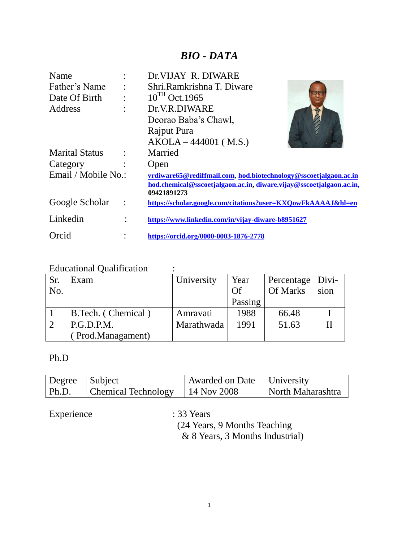# *BIO - DATA*

| Name                  |           | Dr. VIJAY R. DIWARE                                                 |
|-----------------------|-----------|---------------------------------------------------------------------|
| Father's Name         |           | Shri.Ramkrishna T. Diware                                           |
| Date Of Birth         | $\bullet$ | $10^{TH}$ Oct. 1965                                                 |
| Address               | $\bullet$ | Dr.V.R.DIWARE                                                       |
|                       |           | Deorao Baba's Chawl,                                                |
|                       |           | Rajput Pura                                                         |
|                       |           | $AKOLA - 444001 ( M.S.)$                                            |
| <b>Marital Status</b> |           | Married                                                             |
| Category              |           | Open                                                                |
| Email / Mobile No.:   |           | vrdiware65@rediffmail.com, hod.biotechnology@sscoetjalgaon.ac.in    |
|                       |           | hod.chemical@sscoetjalgaon.ac.in, diware.vijay@sscoetjalgaon.ac.in, |
| Google Scholar        |           | 09421891273                                                         |
|                       |           | https://scholar.google.com/citations?user=KXQowFkAAAAJ&hl=en        |
| Linkedin              | $\bullet$ | https://www.linkedin.com/in/vijay-diware-b8951627                   |
| Orcid                 |           | https://orcid.org/0000-0003-1876-2778                               |

# Educational Qualification :

| Sr. | Exam               | University | Year    | Percentage   Divi- |      |
|-----|--------------------|------------|---------|--------------------|------|
| No. |                    |            | Of      | <b>Of Marks</b>    | sion |
|     |                    |            | Passing |                    |      |
|     | B.Tech. (Chemical) | Amravati   | 1988    | 66.48              |      |
|     | P.G.D.P.M.         | Marathwada | 1991    | 51.63              |      |
|     | (Prod.Managament)  |            |         |                    |      |

# Ph.D

| Degree Subject |                            | Awarded on Date   University |                   |
|----------------|----------------------------|------------------------------|-------------------|
| $\vert$ Ph.D.  | <b>Chemical Technology</b> | $14$ Nov 2008                | North Maharashtra |

Experience : 33 Years

 (24 Years, 9 Months Teaching & 8 Years, 3 Months Industrial)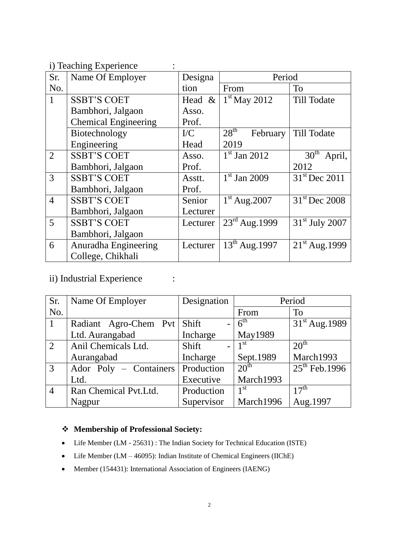i) Teaching Experience :

| Sr.            | Name Of Employer            | Designa   | Period                                |                            |  |
|----------------|-----------------------------|-----------|---------------------------------------|----------------------------|--|
| No.            |                             | tion      | From                                  | To                         |  |
| $\mathbf{1}$   | <b>SSBT'S COET</b>          | Head $&$  | $1st$ May 2012                        | Till Todate                |  |
|                | Bambhori, Jalgaon           | Asso.     |                                       |                            |  |
|                | <b>Chemical Engineering</b> | Prof.     |                                       |                            |  |
|                | Biotechnology               | $\rm{IC}$ | $28^{\text{th}}$<br>February          | Till Todate                |  |
|                | Engineering                 | Head      | 2019                                  |                            |  |
| $\overline{2}$ | <b>SSBT'S COET</b>          | Asso.     | $1st$ Jan 2012                        | 30 <sup>th</sup><br>April, |  |
|                | Bambhori, Jalgaon           | Prof.     |                                       | 2012                       |  |
| 3              | <b>SSBT'S COET</b>          | Asstt.    | $\overline{1}$ <sup>st</sup> Jan 2009 | 31 <sup>st</sup> Dec 2011  |  |
|                | Bambhori, Jalgaon           | Prof.     |                                       |                            |  |
| $\overline{4}$ | <b>SSBT'S COET</b>          | Senior    | $1st$ Aug. 2007                       | 31 <sup>st</sup> Dec 2008  |  |
|                | Bambhori, Jalgaon           | Lecturer  |                                       |                            |  |
| 5              | <b>SSBT'S COET</b>          | Lecturer  | $23rd$ Aug.1999                       | $31st$ July 2007           |  |
|                | Bambhori, Jalgaon           |           |                                       |                            |  |
| 6              | Anuradha Engineering        | Lecturer  | $13^{th}$ Aug. 1997                   | $21^{st}$ Aug. 1999        |  |
|                | College, Chikhali           |           |                                       |                            |  |

# ii) Industrial Experience :

| Sr.            | Name Of Employer       | Designation         | Period                       |                    |
|----------------|------------------------|---------------------|------------------------------|--------------------|
| No.            |                        |                     | From                         | To                 |
|                | Radiant Agro-Chem Pvt  | Shift               | $6^{\text{th}}$              | $31st$ Aug. 1989   |
|                | Ltd. Aurangabad        | Incharge            | May1989                      |                    |
| $\sqrt{2}$     | Anil Chemicals Ltd.    | Shift<br>$\equiv$ . | $\overline{1}$ <sup>st</sup> | 20 <sup>th</sup>   |
|                | Aurangabad             | Incharge            | Sept.1989                    | March1993          |
| $\overline{3}$ | Ador Poly – Containers | Production          | 20 <sup>th</sup>             | $25^{th}$ Feb.1996 |
|                | Ltd.                   | Executive           | March1993                    |                    |
| $\overline{4}$ | Ran Chemical Pvt.Ltd.  | Production          | 1 <sup>st</sup>              | 17 <sup>th</sup>   |
|                | Nagpur                 | Supervisor          | March1996                    | Aug.1997           |

# **Membership of Professional Society:**

- Life Member (LM 25631) : The Indian Society for Technical Education (ISTE)
- Life Member (LM 46095): Indian Institute of Chemical Engineers (IIChE)
- Member (154431): International Association of Engineers (IAENG)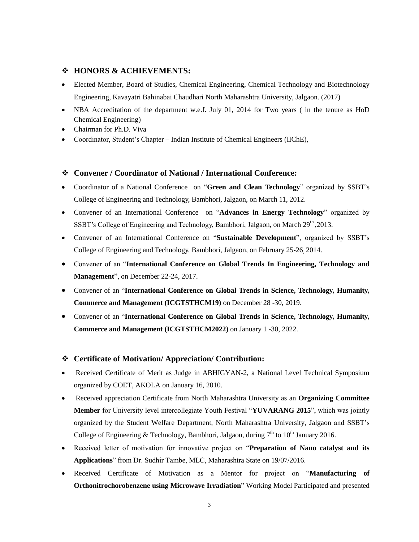## **HONORS & ACHIEVEMENTS:**

- Elected Member, Board of Studies, Chemical Engineering, Chemical Technology and Biotechnology Engineering, Kavayatri Bahinabai Chaudhari North Maharashtra University, Jalgaon. (2017)
- NBA Accreditation of the department w.e.f. July 01, 2014 for Two years (in the tenure as HoD Chemical Engineering)
- Chairman for Ph.D. Viva
- Coordinator, Student's Chapter Indian Institute of Chemical Engineers (IIChE),

## **Convener / Coordinator of National / International Conference:**

- Coordinator of a National Conference on "**Green and Clean Technology**" organized by SSBT"s College of Engineering and Technology, Bambhori, Jalgaon, on March 11, 2012.
- Convener of an International Conference on "**Advances in Energy Technology**" organized by SSBT's College of Engineering and Technology, Bambhori, Jalgaon, on March  $29<sup>th</sup>$ , 2013.
- Convener of an International Conference on "**Sustainable Development**", organized by SSBT"s College of Engineering and Technology, Bambhori, Jalgaon, on February 25-26, 2014.
- Convener of an "**International Conference on Global Trends In Engineering, Technology and Management**", on December 22-24, 2017.
- Convener of an "**International Conference on Global Trends in Science, Technology, Humanity, Commerce and Management (ICGTSTHCM19)** on December 28 -30, 2019.
- Convener of an "**International Conference on Global Trends in Science, Technology, Humanity, Commerce and Management (ICGTSTHCM2022)** on January 1 -30, 2022.

## **Certificate of Motivation/ Appreciation/ Contribution:**

- Received Certificate of Merit as Judge in ABHIGYAN-2, a National Level Technical Symposium organized by COET, AKOLA on January 16, 2010.
- Received appreciation Certificate from North Maharashtra University as an **Organizing Committee Member** for University level intercollegiate Youth Festival "**YUVARANG 2015**", which was jointly organized by the Student Welfare Department, North Maharashtra University, Jalgaon and SSBT"s College of Engineering & Technology, Bambhori, Jalgaon, during  $7<sup>th</sup>$  to  $10<sup>th</sup>$  January 2016.
- Received letter of motivation for innovative project on "**Preparation of Nano catalyst and its Applications**" from Dr. Sudhir Tambe, MLC, Maharashtra State on 19/07/2016.
- Received Certificate of Motivation as a Mentor for project on "**Manufacturing of Orthonitrochorobenzene using Microwave Irradiation**" Working Model Participated and presented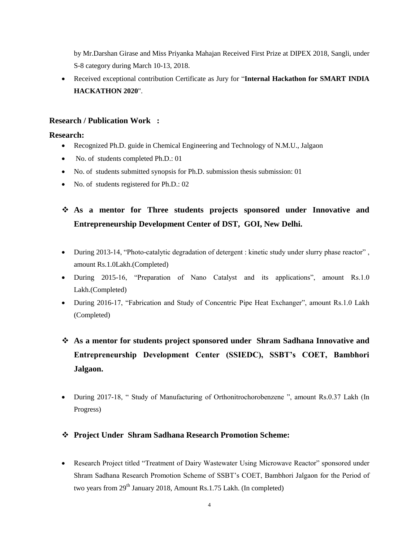by Mr.Darshan Girase and Miss Priyanka Mahajan Received First Prize at DIPEX 2018, Sangli, under S-8 category during March 10-13, 2018.

 Received exceptional contribution Certificate as Jury for "**Internal Hackathon for SMART INDIA HACKATHON 2020**".

# **Research / Publication Work :**

# **Research:**

- Recognized Ph.D. guide in Chemical Engineering and Technology of N.M.U., Jalgaon
- No. of students completed Ph.D.: 01
- No. of students submitted synopsis for Ph.D. submission thesis submission: 01
- No. of students registered for Ph.D.: 02

# **As a mentor for Three students projects sponsored under Innovative and Entrepreneurship Development Center of DST, GOI, New Delhi.**

- During 2013-14, "Photo-catalytic degradation of detergent : kinetic study under slurry phase reactor" , amount Rs.1.0Lakh.(Completed)
- During 2015-16, "Preparation of Nano Catalyst and its applications", amount Rs.1.0 Lakh.(Completed)
- During 2016-17, "Fabrication and Study of Concentric Pipe Heat Exchanger", amount Rs.1.0 Lakh (Completed)
- **As a mentor for students project sponsored under Shram Sadhana Innovative and Entrepreneurship Development Center (SSIEDC), SSBT's COET, Bambhori Jalgaon.**
- During 2017-18, " Study of Manufacturing of Orthonitrochorobenzene ", amount Rs.0.37 Lakh (In Progress)

# **Project Under Shram Sadhana Research Promotion Scheme:**

 Research Project titled "Treatment of Dairy Wastewater Using Microwave Reactor" sponsored under Shram Sadhana Research Promotion Scheme of SSBT"s COET, Bambhori Jalgaon for the Period of two years from  $29<sup>th</sup>$  January 2018, Amount Rs.1.75 Lakh. (In completed)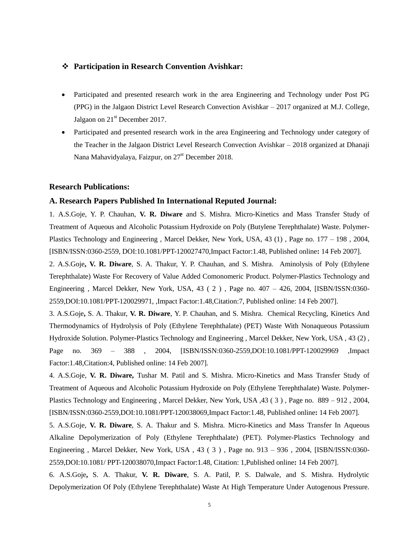## **Participation in Research Convention Avishkar:**

- Participated and presented research work in the area Engineering and Technology under Post PG (PPG) in the Jalgaon District Level Research Convection Avishkar – 2017 organized at M.J. College, Jalgaon on  $21<sup>st</sup>$  December 2017.
- Participated and presented research work in the area Engineering and Technology under category of the Teacher in the Jalgaon District Level Research Convection Avishkar – 2018 organized at Dhanaji Nana Mahavidyalaya, Faizpur, on  $27<sup>st</sup>$  December 2018.

#### **Research Publications:**

## **A. Research Papers Published In International Reputed Journal:**

1. A.S.Goje, Y. P. Chauhan, **V. R. Diware** and S. Mishra. Micro-Kinetics and Mass Transfer Study of Treatment of Aqueous and Alcoholic Potassium Hydroxide on Poly (Butylene Terephthalate) Waste. Polymer-Plastics Technology and Engineering , Marcel Dekker, New York, USA, 43 (1) , Page no. 177 – 198 , 2004, [ISBN/ISSN:0360-2559, DOI:10.1081/PPT-120027470,Impact Factor:1.48, Published online**:** 14 Feb 2007].

2. A.S.Goje**, V. R. Diware**, S. A. Thakur, Y. P. Chauhan, and S. Mishra. Aminolysis of Poly (Ethylene Terephthalate) Waste For Recovery of Value Added Comonomeric Product. Polymer-Plastics Technology and Engineering , Marcel Dekker, New York, USA, 43 ( 2 ) , Page no. 407 – 426, 2004, [ISBN/ISSN:0360- 2559,DOI:10.1081/PPT-120029971, ,Impact Factor:1.48,Citation:7, Published online: 14 Feb 2007].

3. A.S.Goje**,** S. A. Thakur, **V. R. Diware**, Y. P. Chauhan, and S. Mishra. Chemical Recycling, Kinetics And Thermodynamics of Hydrolysis of Poly (Ethylene Terephthalate) (PET) Waste With Nonaqueous Potassium Hydroxide Solution. Polymer-Plastics Technology and Engineering , Marcel Dekker, New York, USA , 43 (2) , Page no. 369 – 388 , 2004, [ISBN/ISSN:0360-2559,DOI:10.1081/PPT-120029969 ,Impact Factor:1.48,Citation:4, Published online: 14 Feb 2007].

4. A.S.Goje, **V. R. Diware,** Tushar M. Patil and S. Mishra. Micro-Kinetics and Mass Transfer Study of Treatment of Aqueous and Alcoholic Potassium Hydroxide on Poly (Ethylene Terephthalate) Waste. Polymer-Plastics Technology and Engineering , Marcel Dekker, New York, USA ,43 ( 3 ) , Page no. 889 – 912 , 2004, [ISBN/ISSN:0360-2559,DOI:10.1081/PPT-120038069,Impact Factor:1.48, Published online**:** 14 Feb 2007].

5. A.S.Goje, **V. R. Diware**, S. A. Thakur and S. Mishra. Micro-Kinetics and Mass Transfer In Aqueous Alkaline Depolymerization of Poly (Ethylene Terephthalate) (PET). Polymer-Plastics Technology and Engineering , Marcel Dekker, New York, USA , 43 ( 3 ) , Page no. 913 – 936 , 2004, [ISBN/ISSN:0360- 2559,DOI:10.1081/ PPT-120038070,Impact Factor:1.48, Citation: 1,Published online**:** 14 Feb 2007].

6. A.S.Goje**,** S. A. Thakur, **V. R. Diware**, S. A. Patil, P. S. Dalwale, and S. Mishra. Hydrolytic Depolymerization Of Poly (Ethylene Terephthalate) Waste At High Temperature Under Autogenous Pressure.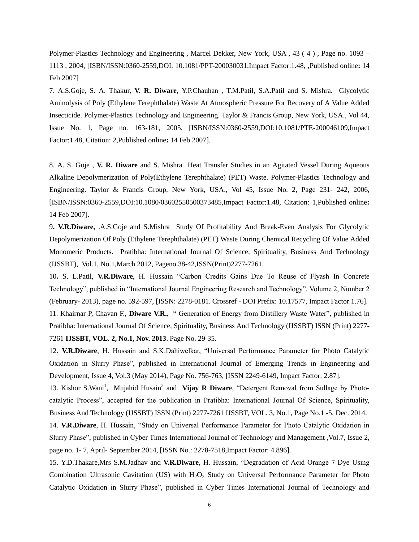Polymer-Plastics Technology and Engineering , Marcel Dekker, New York, USA , 43 ( 4 ) , Page no. 1093 – 1113 , 2004, [ISBN/ISSN:0360-2559,DOI: 10.1081/PPT-200030031,Impact Factor:1.48, ,Published online**:** 14 Feb 2007]

7. A.S.Goje, S. A. Thakur, **V. R. Diware**, Y.P.Chauhan , T.M.Patil, S.A.Patil and S. Mishra. Glycolytic Aminolysis of Poly (Ethylene Terephthalate) Waste At Atmospheric Pressure For Recovery of A Value Added Insecticide. Polymer-Plastics Technology and Engineering. Taylor & Francis Group, New York, USA., Vol 44, Issue No. 1, Page no. 163-181, 2005, [ISBN/ISSN:0360-2559,DOI:10.1081/PTE-200046109,Impact Factor:1.48, Citation: 2,Published online**:** 14 Feb 2007].

8. A. S. Goje , **V. R. Diware** and S. Mishra Heat Transfer Studies in an Agitated Vessel During Aqueous Alkaline Depolymerization of Poly(Ethylene Terephthalate) (PET) Waste. Polymer-Plastics Technology and Engineering. Taylor & Francis Group, New York, USA., Vol 45, Issue No. 2, Page 231- 242, 2006, [ISBN/ISSN:0360-2559,DOI:10.1080/03602550500373485,Impact Factor:1.48, Citation: 1,Published online**:** 14 Feb 2007].

9**. V.R.Diware,** .A.S.Goje and S.Mishra Study Of Profitability And Break-Even Analysis For Glycolytic Depolymerization Of Poly (Ethylene Terephthalate) (PET) Waste During Chemical Recycling Of Value Added Monomeric Products. Pratibha: International Journal Of Science, Spirituality, Business And Technology (IJSSBT), Vol.1, No.1,March 2012, Pageno.38-42,ISSN(Print)2277-7261.

10**.** S. L.Patil, **V.R.Diware**, H. Hussain "Carbon Credits Gains Due To Reuse of Flyash In Concrete Technology", published in "International Journal Engineering Research and Technology". Volume 2, Number 2 (February- 2013), page no. 592-597, [ISSN: 2278-0181. Crossref - DOI Prefix: 10.17577, Impact Factor 1.76]. 11. Khairnar P, Chavan F., **Diware V.R.**, " Generation of Energy from Distillery Waste Water", published in Pratibha: International Journal Of Science, Spirituality, Business And Technology (IJSSBT) ISSN (Print) 2277- 7261 **IJSSBT, VOL. 2, No.1, Nov. 2013**. Page No. 29-35.

12. **V.R.Diware**, H. Hussain and S.K.Dahiwelkar, "Universal Performance Parameter for Photo Catalytic Oxidation in Slurry Phase", published in International Journal of Emerging Trends in Engineering and Development, Issue 4, Vol.3 (May 2014), Page No. 756-763, [ISSN 2249-6149, Impact Factor: 2.87].

13. Kishor S.Wani<sup>1</sup>, Mujahid Husain<sup>2</sup> and **Vijay R Diware**, "Detergent Removal from Sullage by Photocatalytic Process", accepted for the publication in Pratibha: International Journal Of Science, Spirituality, Business And Technology (IJSSBT) ISSN (Print) 2277-7261 IJSSBT, VOL. 3, No.1, Page No.1 -5, Dec. 2014.

14. **V.R.Diware**, H. Hussain, "Study on Universal Performance Parameter for Photo Catalytic Oxidation in Slurry Phase", published in Cyber Times International Journal of Technology and Management ,Vol.7, Issue 2, page no. 1- 7, April- September 2014, [ISSN No.: 2278-7518,Impact Factor: 4.896].

15. Y.D.Thakare,Mrs S.M.Jadhav and **V.R.Diware**, H. Hussain, "Degradation of Acid Orange 7 Dye Using Combination Ultrasonic Cavitation (US) with H<sub>2</sub>O<sub>2</sub> Study on Universal Performance Parameter for Photo Catalytic Oxidation in Slurry Phase", published in Cyber Times International Journal of Technology and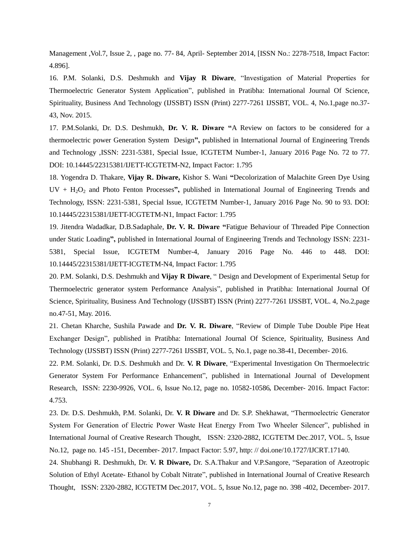Management ,Vol.7, Issue 2, , page no. 77- 84, April- September 2014, [ISSN No.: 2278-7518, Impact Factor: 4.896].

16. P.M. Solanki, D.S. Deshmukh and **Vijay R Diware**, "Investigation of Material Properties for Thermoelectric Generator System Application", published in Pratibha: International Journal Of Science, Spirituality, Business And Technology (IJSSBT) ISSN (Print) 2277-7261 IJSSBT, VOL. 4, No.1,page no.37- 43, Nov. 2015.

17. P.M.Solanki, Dr. D.S. Deshmukh, **Dr. V. R. Diware "**A Review on factors to be considered for a thermoelectric power Generation System Design**",** published in International Journal of Engineering Trends and Technology ,ISSN: 2231-5381, Special Issue, ICGTETM Number-1, January 2016 Page No. 72 to 77. DOI: 10.14445/22315381/IJETT-ICGTETM-N2, Impact Factor: 1.795

18. Yogendra D. Thakare, **Vijay R. Diware,** Kishor S. Wani **"**Decolorization of Malachite Green Dye Using UV + H<sub>2</sub>O<sub>2</sub> and Photo Fenton Processes", published in International Journal of Engineering Trends and Technology, ISSN: 2231-5381, Special Issue, ICGTETM Number-1, January 2016 Page No. 90 to 93. DOI: 10.14445/22315381/IJETT-ICGTETM-N1, Impact Factor: 1.795

19. Jitendra Wadadkar, D.B.Sadaphale, **Dr. V. R. Diware "**Fatigue Behaviour of Threaded Pipe Connection under Static Loading**",** published in International Journal of Engineering Trends and Technology ISSN: 2231- 5381, Special Issue, ICGTETM Number-4, January 2016 Page No. 446 to 448. DOI: 10.14445/22315381/IJETT-ICGTETM-N4, Impact Factor: 1.795

20. P.M. Solanki, D.S. Deshmukh and **Vijay R Diware**, " Design and Development of Experimental Setup for Thermoelectric generator system Performance Analysis", published in Pratibha: International Journal Of Science, Spirituality, Business And Technology (IJSSBT) ISSN (Print) 2277-7261 IJSSBT, VOL. 4, No.2,page no.47-51, May. 2016.

21. Chetan Kharche, Sushila Pawade and **Dr. V. R. Diware**, "Review of Dimple Tube Double Pipe Heat Exchanger Design", published in Pratibha: International Journal Of Science, Spirituality, Business And Technology (IJSSBT) ISSN (Print) 2277-7261 IJSSBT, VOL. 5, No.1, page no.38-41, December- 2016.

22. P.M. Solanki, Dr. D.S. Deshmukh and Dr. **V. R Diware**, "Experimental Investigation On Thermoelectric Generator System For Performance Enhancement", published in International Journal of Development Research, ISSN: 2230-9926, VOL. 6, Issue No.12, page no. 10582-10586*,* December- 2016. Impact Factor: [4.753.](http://sjifactor.com/passport.php?id=17901)

23. Dr. D.S. Deshmukh, P.M. Solanki, Dr. **V. R Diware** and Dr. S.P. Shekhawat, "Thermoelectric Generator System For Generation of Electric Power Waste Heat Energy From Two Wheeler Silencer", published in International Journal of Creative Research Thought, ISSN: 2320-2882, ICGTETM Dec.2017, VOL. 5, Issue No.12, page no. 145 -151, December- 2017. Impact Factor: 5.97, http: // doi.one/10.1727/IJCRT.17140.

24. Shubhangi R. Deshmukh, Dr. **V. R Diware,** Dr. S.A.Thakur and V.P.Sangore, "Separation of Azeotropic Solution of Ethyl Acetate- Ethanol by Cobalt Nitrate", published in International Journal of Creative Research Thought, ISSN: 2320-2882, ICGTETM Dec.2017, VOL. 5, Issue No.12, page no. 398 -402, December- 2017.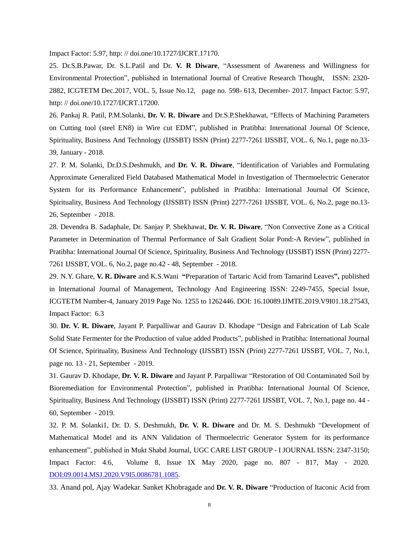Impact Factor: 5.97, http: // doi.one/10.1727/IJCRT.17170.

25. Dr.S.B.Pawar, Dr. S.L.Patil and Dr. **V. R Diware**, "Assessment of Awareness and Willingness for Environmental Protection", published in International Journal of Creative Research Thought, ISSN: 2320- 2882, ICGTETM Dec.2017, VOL. 5, Issue No.12, page no. 598- 613, December- 2017. Impact Factor: 5.97, http: // doi.one/10.1727/IJCRT.17200.

26. Pankaj R. Patil, P.M.Solanki, **Dr. V. R. Diware** and Dr.S.P.Shekhawat, "Effects of Machining Parameters on Cutting tool (steel EN8) in Wire cut EDM", published in Pratibha: International Journal Of Science, Spirituality, Business And Technology (IJSSBT) ISSN (Print) 2277-7261 IJSSBT, VOL. 6, No.1, page no.33- 39, January - 2018.

27. P. M. Solanki, Dr.D.S.Deshmukh, and **Dr. V. R. Diware**, "Identification of Variables and Formulating Approximate Generalized Field Databased Mathematical Model in Investigation of Thermoelectric Generator System for its Performance Enhancement", published in Pratibha: International Journal Of Science, Spirituality, Business And Technology (IJSSBT) ISSN (Print) 2277-7261 IJSSBT, VOL. 6, No.2, page no.13- 26, September - 2018.

28. Devendra B. Sadaphale, Dr. Sanjay P. Shekhawat, **Dr. V. R. Diware**, "Non Convective Zone as a Critical Parameter in Determination of Thermal Performance of Salt Gradient Solar Pond:-A Review", published in Pratibha: International Journal Of Science, Spirituality, Business And Technology (IJSSBT) ISSN (Print) 2277- 7261 IJSSBT, VOL. 6, No.2, page no.42 - 48, September - 2018.

29. N.Y. Ghare, **V. R. Diware** and K.S.Wani **"**[Preparation of Tartaric Acid from Tamarind Leaves](http://ijamtes.org/gallery/144-jan19.pdf)**",** published in International Journal of Management, Technology And Engineering ISSN: 2249-7455, Special Issue, ICGTETM Number-4, January 2019 Page No. 1255 to 1262446. DOI: 16.10089.IJMTE.2019.V9I01.18.27543, Impact Factor: 6.3

30. **Dr. V. R. Diware**, Jayant P. Parpalliwar and Gaurav D. Khodape "Design and Fabrication of Lab Scale Solid State Fermenter for the Production of value added Products", published in Pratibha: International Journal Of Science, Spirituality, Business And Technology (IJSSBT) ISSN (Print) 2277-7261 IJSSBT, VOL. 7, No.1, page no. 13 - 21, September - 2019.

31. Gaurav D. Khodape, **Dr. V. R. Diware** and Jayant P. Parpalliwar "Restoration of Oil Contaminated Soil by Bioremediation for Environmental Protection", published in Pratibha: International Journal Of Science, Spirituality, Business And Technology (IJSSBT) ISSN (Print) 2277-7261 IJSSBT, VOL. 7, No.1, page no. 44 - 60, September - 2019.

32. P. M. Solanki1, Dr. D. S. Deshmukh, **Dr. V. R. Diware** and Dr. M. S. Deshmukh ["Development of](http://shabdbooks.com/gallery/86-may-2020.pdf)  [Mathematical Model and its ANN Validation of Thermoelectric Generator System for its](http://shabdbooks.com/gallery/86-may-2020.pdf) [performance](http://shabdbooks.com/gallery/86-may-2020.pdf)  [enhancement"](http://shabdbooks.com/gallery/86-may-2020.pdf), published in Mukt Shabd Journal, [UGC CARE LIST GROUP -](http://shabdbooks.com/gallery/ugc%20-%202-ts1585229969.jpg) I JOURNAL ISSN: 2347-3150; Impact Factor: 4.6, Volume 8, Issue IX May 2020, page no. 807 - 817, May - 2020*.* [DOI:09.0014.MSJ.2020.V9I5.0086781.1085.](http://shabdbooks.com/gallery/86-may-2020.pdf)

33. Anand pol, Ajay Wadekar, Sanket Khobragade and **Dr. V. R. Diware** "Production of Itaconic Acid from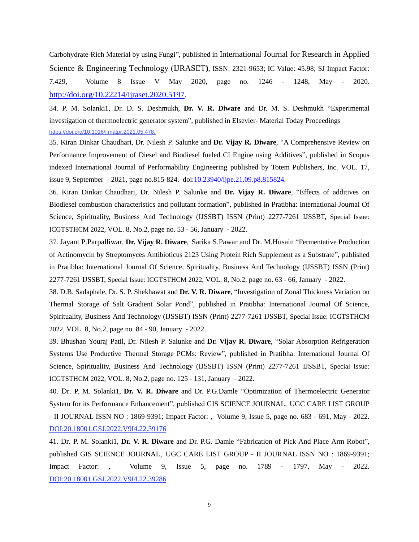Carbohydrate-Rich Material by using Fungi", published in International Journal for Research in Applied Science & Engineering Technology (IJRASET**)**, ISSN: 2321-9653; IC Value: 45.98; SJ Impact Factor: 7.429, Volume 8 Issue V May 2020, page no. 1246 - 1248, May - 2020*.* [http://doi.org/10.22214/ijraset.2020.5197.](http://doi.org/10.22214/ijraset.2020.5197)

34. P. M. Solanki1, Dr. D. S. Deshmukh, **Dr. V. R. Diware** and Dr. M. S. Deshmukh "Experimental investigation of thermoelectric generator system", published in Elsevier- Material Today Proceedings [https://doi.org/10.1016/j.matpr.2021.05.478.](https://www.rediffmail.com/cgi-bin/red.cgi?red=https%3A%2F%2Fdoi.org%2F10.1016%2Fj.matpr.2021.05.478.&isImage=0&BlockImage=0&rediffng=0&rdf=ACMAcAZlUDxUflJnASBQYVE0Vmc%3D&rogue=4cffc97561285555c4db8a6296674959e825beb1)

35. Kiran Dinkar Chaudhari, Dr. Nilesh P. Salunke and **Dr. Vijay R. Diware**, "A Comprehensive Review on Performance Improvement of Diesel and Biodiesel fueled CI Engine using Additives", published in Scopus indexed International Journal of Performability Engineering published by Totem Publishers, Inc. VOL. 17, issue 9, September - 2021, page no.815-824. doi[:10.23940/ijpe.21.09.p8.815824.](https://doi.org/10.23940/ijpe.21.09.p8.815824)

36. Kiran Dinkar Chaudhari, Dr. Nilesh P. Salunke and **Dr. Vijay R. Diware**, "Effects of additives on Biodiesel combustion characteristics and pollutant formation", published in Pratibha: International Journal Of Science, Spirituality, Business And Technology (IJSSBT) ISSN (Print) 2277-7261 IJSSBT, Special Issue: ICGTSTHCM 2022, VOL. 8, No.2, page no. 53 - 56, January - 2022.

37. Jayant P.Parpalliwar, **Dr. Vijay R. Diware**, Sarika S.Pawar and Dr. M.Husain "Fermentative Production of Actinomycin by Streptomyces Antibioticus 2123 Using Protein Rich Supplement as a Substrate", published in Pratibha: International Journal Of Science, Spirituality, Business And Technology (IJSSBT) ISSN (Print) 2277-7261 IJSSBT, Special Issue: ICGTSTHCM 2022, VOL. 8, No.2, page no. 63 - 66, January - 2022.

38. D.B. Sadaphale, Dr. S. P. Shekhawat and **Dr. V. R. Diware**, "Investigation of Zonal Thickness Variation on Thermal Storage of Salt Gradient Solar Pond", published in Pratibha: International Journal Of Science, Spirituality, Business And Technology (IJSSBT) ISSN (Print) 2277-7261 IJSSBT, Special Issue: ICGTSTHCM 2022, VOL. 8, No.2, page no. 84 - 90, January - 2022.

39. Bhushan Youraj Patil, Dr. Nilesh P. Salunke and **Dr. Vijay R. Diware**, "Solar Absorption Refrigeration Systems Use Productive Thermal Storage PCMs: Review", published in Pratibha: International Journal Of Science, Spirituality, Business And Technology (IJSSBT) ISSN (Print) 2277-7261 IJSSBT, Special Issue: ICGTSTHCM 2022, VOL. 8, No.2, page no. 125 - 131, January - 2022.

40. Dr. P. M. Solanki1, **Dr. V. R. Diware** and Dr. P.G.Damle "Optimization of Thermoelectric Generator System for its Performance Enhancement", published GIS SCIENCE JOURNAL, [UGC CARE LIST GROUP](http://shabdbooks.com/gallery/ugc%20-%202-ts1585229969.jpg)  - II [JOURNAL](http://shabdbooks.com/gallery/ugc%20-%202-ts1585229969.jpg) ISSN NO : 1869-9391; Impact Factor: , Volume 9, Issue 5, page no. 683 - 691, May - 2022*.* DOI:20.18001.GSJ.2022.V9I4.22.39176

41. Dr. P. M. Solanki1, **Dr. V. R. Diware** and Dr. P.G. Damle "Fabrication of Pick And Place Arm Robot", published GIS SCIENCE JOURNAL, [UGC CARE LIST GROUP -](http://shabdbooks.com/gallery/ugc%20-%202-ts1585229969.jpg) II JOURNAL ISSN NO : 1869-9391; Impact Factor: , Volume 9, Issue 5, page no. 1789 - 1797, May - 2022*.* DOI:20.18001.GSJ.2022.V9I4.22.39286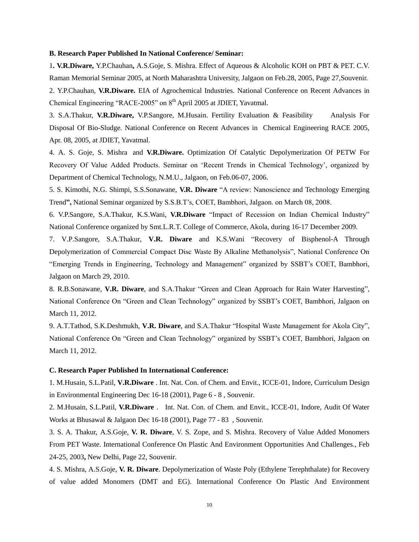#### **B. Research Paper Published In National Conference/ Seminar:**

1**. V.R.Diware,** Y.P.Chauhan**,** A.S.Goje, S. Mishra. Effect of Aqueous & Alcoholic KOH on PBT & PET. C.V. Raman Memorial Seminar 2005, at North Maharashtra University, Jalgaon on Feb.28, 2005, Page 27,Souvenir.

2. Y.P.Chauhan, **V.R.Diware.** EIA of Agrochemical Industries. National Conference on Recent Advances in Chemical Engineering "RACE-2005" on  $8<sup>th</sup>$  April 2005 at JDIET, Yavatmal.

3. S.A.Thakur, **V.R.Diware,** V.P.Sangore, M.Husain. Fertility Evaluation & Feasibility Analysis For Disposal Of Bio-Sludge. National Conference on Recent Advances in Chemical Engineering RACE 2005, Apr. 08, 2005, at JDIET, Yavatmal.

4. A. S. Goje, S. Mishra and **V.R.Diware.** Optimization Of Catalytic Depolymerization Of PETW For Recovery Of Value Added Products. Seminar on "Recent Trends in Chemical Technology", organized by Department of Chemical Technology, N.M.U., Jalgaon, on Feb.06-07, 2006.

5. S. Kimothi, N.G. Shimpi, S.S.Sonawane, **V.R. Diware** "A review: Nanoscience and Technology Emerging Trend**",** National Seminar organized by S.S.B.T"s, COET, Bambhori, Jalgaon. on March 08, 2008.

6. V.P.Sangore, S.A.Thakur, K.S.Wani, **V.R.Diware** "Impact of Recession on Indian Chemical Industry" National Conference organized by Smt.L.R.T. College of Commerce, Akola, during 16-17 December 2009.

7. V.P.Sangore, S.A.Thakur, **V.R. Diware** and K.S.Wani "Recovery of Bisphenol-A Through Depolymerization of Commercial Compact Disc Waste By Alkaline Methanolysis", National Conference On "Emerging Trends in Engineering, Technology and Management" organized by SSBT"s COET, Bambhori, Jalgaon on March 29, 2010.

8. R.B.Sonawane, **V.R. Diware**, and S.A.Thakur "Green and Clean Approach for Rain Water Harvesting", National Conference On "Green and Clean Technology" organized by SSBT"s COET, Bambhori, Jalgaon on March 11, 2012.

9. A.T.Tathod, S.K.Deshmukh, **V.R. Diware**, and S.A.Thakur "Hospital Waste Management for Akola City", National Conference On "Green and Clean Technology" organized by SSBT"s COET, Bambhori, Jalgaon on March 11, 2012.

#### **C. Research Paper Published In International Conference:**

1. M.Husain, S.L.Patil, **V.R.Diware** . Int. Nat. Con. of Chem. and Envit., ICCE-01, Indore, Curriculum Design in Environmental Engineering Dec 16-18 (2001), Page 6 - 8 , Souvenir.

2. M.Husain, S.L.Patil, **V.R.Diware** . Int. Nat. Con. of Chem. and Envit., ICCE-01, Indore, Audit Of Water Works at Bhusawal & Jalgaon Dec 16-18 (2001), Page 77 - 83 , Souvenir.

3. S. A. Thakur, A.S.Goje, **V. R. Diware**, V. S. Zope, and S. Mishra. Recovery of Value Added Monomers From PET Waste. International Conference On Plastic And Environment Opportunities And Challenges., Feb 24-25, 2003**,** New Delhi, Page 22, Souvenir.

4. S. Mishra, A.S.Goje, **V. R. Diware**. Depolymerization of Waste Poly (Ethylene Terephthalate) for Recovery of value added Monomers (DMT and EG). International Conference On Plastic And Environment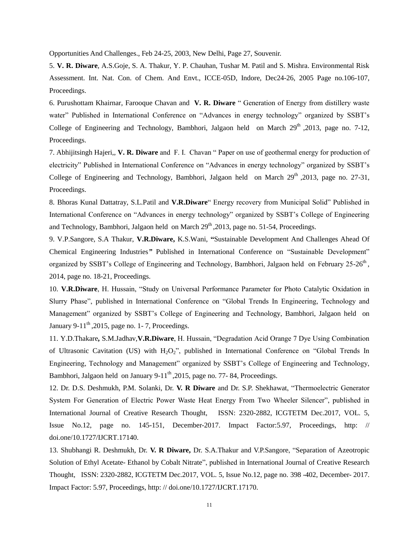Opportunities And Challenges., Feb 24-25, 2003, New Delhi, Page 27, Souvenir.

5. **V. R. Diware**, A.S.Goje, S. A. Thakur, Y. P. Chauhan, Tushar M. Patil and S. Mishra. Environmental Risk Assessment. Int. Nat. Con. of Chem. And Envt., ICCE-05D, Indore, Dec24-26, 2005 Page no.106-107, Proceedings.

6. Purushottam Khairnar, Farooque Chavan and **V. R. Diware** " Generation of Energy from distillery waste water" Published in International Conference on "Advances in energy technology" organized by SSBT's College of Engineering and Technology, Bambhori, Jalgaon held on March  $29<sup>th</sup>$ , 2013, page no. 7-12, Proceedings.

7. Abhijitsingh Hajeri,, **V. R. Diware** and F. I. Chavan " Paper on use of geothermal energy for production of electricity" Published in International Conference on "Advances in energy technology" organized by SSBT"s College of Engineering and Technology, Bambhori, Jalgaon held on March  $29<sup>th</sup>$ , 2013, page no. 27-31, Proceedings.

8. Bhoras Kunal Dattatray, S.L.Patil and **V.R.Diware**" Energy recovery from Municipal Solid" Published in International Conference on "Advances in energy technology" organized by SSBT"s College of Engineering and Technology, Bambhori, Jalgaon held on March  $29<sup>th</sup>$ , 2013, page no. 51-54, Proceedings.

9. V.P.Sangore, S.A Thakur, **V.R.Diware,** K.S.Wani, **"**Sustainable Development And Challenges Ahead Of Chemical Engineering Industries*"* Published in International Conference on "Sustainable Development" organized by SSBT's College of Engineering and Technology, Bambhori, Jalgaon held on February 25-26<sup>th</sup>, 2014, page no. 18-21, Proceedings.

10. **V.R.Diware**, H. Hussain, "Study on Universal Performance Parameter for Photo Catalytic Oxidation in Slurry Phase", published in International Conference on "Global Trends In Engineering, Technology and Management" organized by SSBT"s College of Engineering and Technology, Bambhori, Jalgaon held on January 9-11<sup>th</sup>, 2015, page no. 1-7, Proceedings.

11. Y.D.Thakare**,** S.M.Jadhav,**V.R.Diware**, H. Hussain, "Degradation Acid Orange 7 Dye Using Combination of Ultrasonic Cavitation (US) with H<sub>2</sub>O<sub>2</sub>", published in International Conference on "Global Trends In Engineering, Technology and Management" organized by SSBT"s College of Engineering and Technology, Bambhori, Jalgaon held on January 9-11<sup>th</sup>, 2015, page no. 77-84, Proceedings.

12. Dr. D.S. Deshmukh, P.M. Solanki, Dr. **V. R Diware** and Dr. S.P. Shekhawat, "Thermoelectric Generator System For Generation of Electric Power Waste Heat Energy From Two Wheeler Silencer", published in International Journal of Creative Research Thought, ISSN: 2320-2882, ICGTETM Dec.2017, VOL. 5, Issue No.12, page no. 145-151, December-2017. Impact Factor:5.97, Proceedings, http: // doi.one/10.1727/IJCRT.17140.

13. Shubhangi R. Deshmukh, Dr. **V. R Diware,** Dr. S.A.Thakur and V.P.Sangore, "Separation of Azeotropic Solution of Ethyl Acetate- Ethanol by Cobalt Nitrate", published in International Journal of Creative Research Thought, ISSN: 2320-2882, ICGTETM Dec.2017, VOL. 5, Issue No.12, page no. 398 -402, December- 2017. Impact Factor: 5.97, Proceedings, http: // doi.one/10.1727/IJCRT.17170.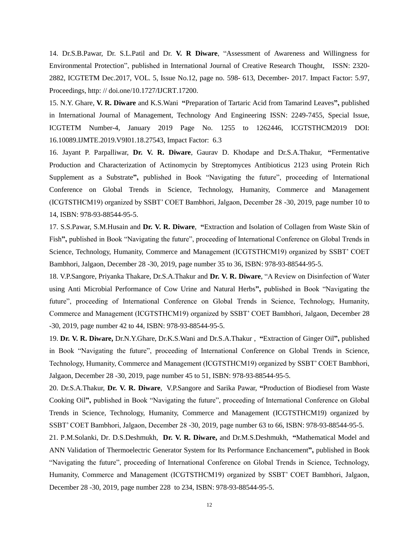14. Dr.S.B.Pawar, Dr. S.L.Patil and Dr. **V. R Diware**, "Assessment of Awareness and Willingness for Environmental Protection", published in International Journal of Creative Research Thought, ISSN: 2320- 2882, ICGTETM Dec.2017, VOL. 5, Issue No.12, page no. 598- 613, December- 2017. Impact Factor: 5.97, Proceedings, http: // doi.one/10.1727/IJCRT.17200.

15. N.Y. Ghare, **V. R. Diware** and K.S.Wani **"**[Preparation of Tartaric Acid from Tamarind Leaves](http://ijamtes.org/gallery/144-jan19.pdf)**",** published in International Journal of Management, Technology And Engineering ISSN: 2249-7455, Special Issue, ICGTETM Number-4, January 2019 Page No. 1255 to 1262446, ICGTSTHCM2019 DOI: 16.10089.IJMTE.2019.V9I01.18.27543, Impact Factor: 6.3

16. Jayant P. Parpalliwar, **Dr. V. R. Diware**, Gaurav D. Khodape and Dr.S.A.Thakur, **"**Fermentative Production and Characterization of Actinomycin by Streptomyces Antibioticus 2123 using Protein Rich Supplement as a Substrate**",** published in Book "Navigating the future", proceeding of International Conference on Global Trends in Science, Technology, Humanity, Commerce and Management (ICGTSTHCM19) organized by SSBT" COET Bambhori, Jalgaon, December 28 -30, 2019, page number 10 to 14, ISBN: 978-93-88544-95-5.

17. S.S.Pawar, S.M.Husain and **Dr. V. R. Diware**, **"**Extraction and Isolation of Collagen from Waste Skin of Fish**",** published in Book "Navigating the future", proceeding of International Conference on Global Trends in Science, Technology, Humanity, Commerce and Management (ICGTSTHCM19) organized by SSBT" COET Bambhori, Jalgaon, December 28 -30, 2019, page number 35 to 36, ISBN: 978-93-88544-95-5.

18. V.P.Sangore, Priyanka Thakare, Dr.S.A.Thakur and **Dr. V. R. Diware**, "A Review on Disinfection of Water using Anti Microbial Performance of Cow Urine and Natural Herbs**",** published in Book "Navigating the future", proceeding of International Conference on Global Trends in Science, Technology, Humanity, Commerce and Management (ICGTSTHCM19) organized by SSBT" COET Bambhori, Jalgaon, December 28 -30, 2019, page number 42 to 44, ISBN: 978-93-88544-95-5.

19. **Dr. V. R. Diware,** Dr.N.Y.Ghare, Dr.K.S.Wani and Dr.S.A.Thakur , **"**Extraction of Ginger Oil**",** published in Book "Navigating the future", proceeding of International Conference on Global Trends in Science, Technology, Humanity, Commerce and Management (ICGTSTHCM19) organized by SSBT" COET Bambhori, Jalgaon, December 28 -30, 2019, page number 45 to 51, ISBN: 978-93-88544-95-5.

20. Dr.S.A.Thakur, **Dr. V. R. Diware**, V.P.Sangore and Sarika Pawar, **"**Production of Biodiesel from Waste Cooking Oil**",** published in Book "Navigating the future", proceeding of International Conference on Global Trends in Science, Technology, Humanity, Commerce and Management (ICGTSTHCM19) organized by SSBT" COET Bambhori, Jalgaon, December 28 -30, 2019, page number 63 to 66, ISBN: 978-93-88544-95-5.

21. P.M.Solanki, Dr. D.S.Deshmukh, **Dr. V. R. Diware,** and Dr.M.S.Deshmukh, **"**Mathematical Model and ANN Validation of Thermoelectric Generator System for Its Performance Enchancement**",** published in Book "Navigating the future", proceeding of International Conference on Global Trends in Science, Technology, Humanity, Commerce and Management (ICGTSTHCM19) organized by SSBT" COET Bambhori, Jalgaon, December 28 -30, 2019, page number 228 to 234, ISBN: 978-93-88544-95-5.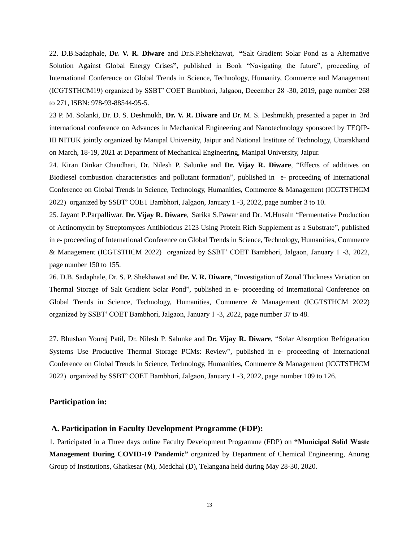22. D.B.Sadaphale, **Dr. V. R. Diware** and Dr.S.P.Shekhawat, **"**Salt Gradient Solar Pond as a Alternative Solution Against Global Energy Crises**",** published in Book "Navigating the future", proceeding of International Conference on Global Trends in Science, Technology, Humanity, Commerce and Management (ICGTSTHCM19) organized by SSBT" COET Bambhori, Jalgaon, December 28 -30, 2019, page number 268 to 271, ISBN: 978-93-88544-95-5.

23 P. M. Solanki, Dr. D. S. Deshmukh, **Dr. V. R. Diware** and Dr. M. S. Deshmukh, presented a paper in 3rd international conference on Advances in Mechanical Engineering and Nanotechnology sponsored by TEQIP-III NITUK jointly organized by Manipal University, Jaipur and National Institute of Technology, Uttarakhand on March, 18-19, 2021 at Department of Mechanical Engineering, Manipal University, Jaipur.

24. Kiran Dinkar Chaudhari, Dr. Nilesh P. Salunke and **Dr. Vijay R. Diware**, "Effects of additives on Biodiesel combustion characteristics and pollutant formation", published in e- proceeding of International Conference on Global Trends in Science, Technology, Humanities, Commerce & Management (ICGTSTHCM 2022) organized by SSBT" COET Bambhori, Jalgaon, January 1 -3, 2022, page number 3 to 10.

25. Jayant P.Parpalliwar, **Dr. Vijay R. Diware**, Sarika S.Pawar and Dr. M.Husain "Fermentative Production of Actinomycin by Streptomyces Antibioticus 2123 Using Protein Rich Supplement as a Substrate", published in e- proceeding of International Conference on Global Trends in Science, Technology, Humanities, Commerce & Management (ICGTSTHCM 2022) organized by SSBT" COET Bambhori, Jalgaon, January 1 -3, 2022, page number 150 to 155.

26. D.B. Sadaphale, Dr. S. P. Shekhawat and **Dr. V. R. Diware**, "Investigation of Zonal Thickness Variation on Thermal Storage of Salt Gradient Solar Pond", published in e- proceeding of International Conference on Global Trends in Science, Technology, Humanities, Commerce & Management (ICGTSTHCM 2022) organized by SSBT" COET Bambhori, Jalgaon, January 1 -3, 2022, page number 37 to 48.

27. Bhushan Youraj Patil, Dr. Nilesh P. Salunke and **Dr. Vijay R. Diware**, "Solar Absorption Refrigeration Systems Use Productive Thermal Storage PCMs: Review", published in e- proceeding of International Conference on Global Trends in Science, Technology, Humanities, Commerce & Management (ICGTSTHCM 2022) organized by SSBT" COET Bambhori, Jalgaon, January 1 -3, 2022, page number 109 to 126.

## **Participation in:**

### **A. Participation in Faculty Development Programme (FDP):**

1. Participated in a Three days online Faculty Development Programme (FDP) on **"Municipal Solid Waste Management During COVID-19 Pandemic"** organized by Department of Chemical Engineering, Anurag Group of Institutions, Ghatkesar (M), Medchal (D), Telangana held during May 28-30, 2020.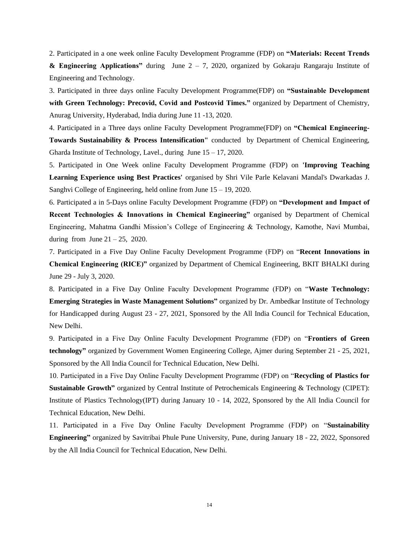2. Participated in a one week online Faculty Development Programme (FDP) on **"Materials: Recent Trends & Engineering Applications"** during June 2 – 7, 2020, organized by Gokaraju Rangaraju Institute of Engineering and Technology.

3. Participated in three days online Faculty Development Programme(FDP) on **"Sustainable Development with Green Technology: Precovid, Covid and Postcovid Times."** organized by Department of Chemistry, Anurag University, Hyderabad, India during June 11 -13, 2020.

4. Participated in a Three days online Faculty Development Programme(FDP) on **"Chemical Engineering-Towards Sustainability & Process Intensification"** conducted by Department of Chemical Engineering, Gharda Institute of Technology, Lavel., during June 15 – 17, 2020.

5. Participated in One Week online Faculty Development Programme (FDP) on **'Improving Teaching Learning Experience using Best Practices'** organised by Shri Vile Parle Kelavani Mandal's Dwarkadas J. Sanghvi College of Engineering, held online from June 15 – 19, 2020.

6. Participated a in 5-Days online Faculty Development Programme (FDP) on **"Development and Impact of Recent Technologies & Innovations in Chemical Engineering"** organised by Department of Chemical Engineering, Mahatma Gandhi Mission"s College of Engineering & Technology, Kamothe, Navi Mumbai, during from June  $21 - 25$ , 2020.

7. Participated in a Five Day Online Faculty Development Programme (FDP) on "**Recent Innovations in Chemical Engineering (RICE)"** organized by Department of Chemical Engineering, BKIT BHALKI during June 29 - July 3, 2020.

8. Participated in a Five Day Online Faculty Development Programme (FDP) on "**Waste Technology: Emerging Strategies in Waste Management Solutions"** organized by Dr. Ambedkar Institute of Technology for Handicapped during August 23 - 27, 2021, Sponsored by the All India Council for Technical Education, New Delhi.

9. Participated in a Five Day Online Faculty Development Programme (FDP) on "**Frontiers of Green technology"** organized by Government Women Engineering College, Ajmer during September 21 - 25, 2021, Sponsored by the All India Council for Technical Education, New Delhi.

10. Participated in a Five Day Online Faculty Development Programme (FDP) on "**Recycling of Plastics for Sustainable Growth"** organized by Central Institute of Petrochemicals Engineering & Technology (CIPET): Institute of Plastics Technology(IPT) during January 10 - 14, 2022, Sponsored by the All India Council for Technical Education, New Delhi.

11. Participated in a Five Day Online Faculty Development Programme (FDP) on "**Sustainability Engineering"** organized by Savitribai Phule Pune University, Pune, during January 18 - 22, 2022, Sponsored by the All India Council for Technical Education, New Delhi.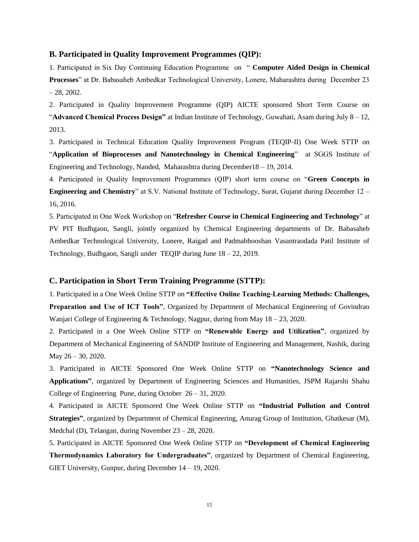#### **B. Participated in Quality Improvement Programmes (QIP):**

1. Participated in Six Day Continuing Education Programme on " **Computer Aided Design in Chemical Processes**" at Dr. Babasaheb Ambedkar Technological University, Lonere, Maharashtra during December 23  $-28, 2002.$ 

2. Participated in Quality Improvement Programme (QIP) AICTE sponsored Short Term Course on "**Advanced Chemical Process Design"** at Indian Institute of Technology, Guwahati, Asam during July 8 – 12, 2013.

3. Participated in Technical Education Quality Improvement Program (TEQIP-II) One Week STTP on "**Application of Bioprocesses and Nanotechnology in Chemical Engineering**" at SGGS Institute of Engineering and Technology, Nanded, Maharashtra during December18 – 19, 2014.

4. Participated in Quality Improvement Programmes (QIP) short term course on "**Green Concepts in Engineering and Chemistry**" at S.V. National Institute of Technology, Surat, Gujarat during December 12 – 16, 2016.

5. Participated in One Week Workshop on "**Refresher Course in Chemical Engineering and Technology**" at PV PIT Budhgaon, Sangli, jointly organized by Chemical Engineering departments of Dr. Babasaheb Ambedkar Technological University, Lonere, Raigad and Padmabhooshan Vasantraodada Patil Institute of Technology, Budhgaon, Sangli under TEQIP during June 18 – 22, 2019.

#### **C. Participation in Short Term Training Programme (STTP):**

1. Participated in a One Week Online STTP on **"Effective Online Teaching-Learning Methods: Challenges, Preparation and Use of ICT Tools"**, Organized by Department of Mechanical Engineering of Govindrao Wanjari College of Engineering & Technology, Nagpur, during from May 18 – 23, 2020.

2. Participated in a One Week Online STTP on **"Renewable Energy and Utilization"**, organized by Department of Mechanical Engineering of SANDIP Institute of Engineering and Management, Nashik, during May 26 – 30, 2020.

3. Participated in AICTE Sponsored One Week Online STTP on **"Nanotechnology Science and Applications"**, organized by Department of Engineering Sciences and Humanities, JSPM Rajarshi Shahu College of Engineering Pune, during October 26 – 31, 2020.

4. Participated in AICTE Sponsored One Week Online STTP on **"Industrial Pollution and Control Strategies"**, organized by Department of Chemical Engineering, Anurag Group of Institution, Ghatkesar (M), Medchal (D), Telangan, during November 23 – 28, 2020.

5. Participated in AICTE Sponsored One Week Online STTP on **"Development of Chemical Engineering Thermodynamics Laboratory for Undergraduates"**, organized by Department of Chemical Engineering, GIET University, Gunpur, during December 14 – 19, 2020.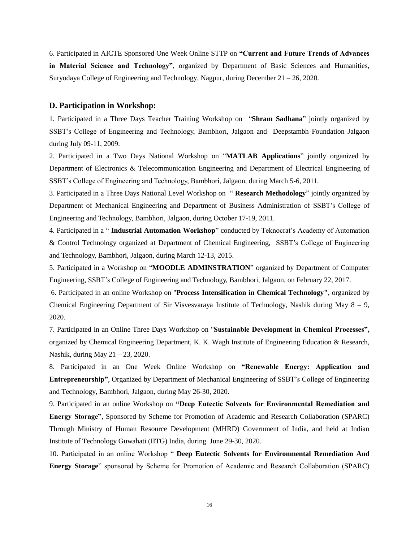6. Participated in AICTE Sponsored One Week Online STTP on **"Current and Future Trends of Advances in Material Science and Technology"**, organized by Department of Basic Sciences and Humanities, Suryodaya College of Engineering and Technology, Nagpur, during December 21 – 26, 2020.

### **D. Participation in Workshop:**

1. Participated in a Three Days Teacher Training Workshop on "**Shram Sadhana**" jointly organized by SSBT"s College of Engineering and Technology, Bambhori, Jalgaon and Deepstambh Foundation Jalgaon during July 09-11, 2009.

2. Participated in a Two Days National Workshop on "**MATLAB Applications**" jointly organized by Department of Electronics & Telecommunication Engineering and Department of Electrical Engineering of SSBT"s College of Engineering and Technology, Bambhori, Jalgaon, during March 5-6, 2011.

3. Participated in a Three Days National Level Workshop on " **Research Methodology**" jointly organized by Department of Mechanical Engineering and Department of Business Administration of SSBT"s College of Engineering and Technology, Bambhori, Jalgaon, during October 17-19, 2011.

4. Participated in a " **Industrial Automation Workshop**" conducted by Teknocrat"s Academy of Automation & Control Technology organized at Department of Chemical Engineering, SSBT"s College of Engineering and Technology, Bambhori, Jalgaon, during March 12-13, 2015.

5. Participated in a Workshop on "**MOODLE ADMINSTRATION**" organized by Department of Computer Engineering, SSBT"s College of Engineering and Technology, Bambhori, Jalgaon, on February 22, 2017.

6. Participated in an online Workshop on "**Process Intensification in Chemical Technology"**, organized by Chemical Engineering Department of Sir Visvesvaraya Institute of Technology, Nashik during May  $8 - 9$ , 2020.

7. Participated in an Online Three Days Workshop on "**Sustainable Development in Chemical Processes",**  organized by Chemical Engineering Department, K. K. Wagh Institute of Engineering Education & Research, Nashik, during May 21 – 23, 2020.

8. Participated in an One Week Online Workshop on **"Renewable Energy: Application and Entrepreneurship"**, Organized by Department of Mechanical Engineering of SSBT"s College of Engineering and Technology, Bambhori, Jalgaon, during May 26-30, 2020.

9. Participated in an online Workshop on **"Deep Eutectic Solvents for Environmental Remediation and Energy Storage"**, Sponsored by Scheme for Promotion of Academic and Research Collaboration (SPARC) Through Ministry of Human Resource Development (MHRD) Government of India, and held at Indian Institute of Technology Guwahati (IITG) India, during June 29-30, 2020.

10. Participated in an online Workshop " **Deep Eutectic Solvents for Environmental Remediation And Energy Storage**" sponsored by Scheme for Promotion of Academic and Research Collaboration (SPARC)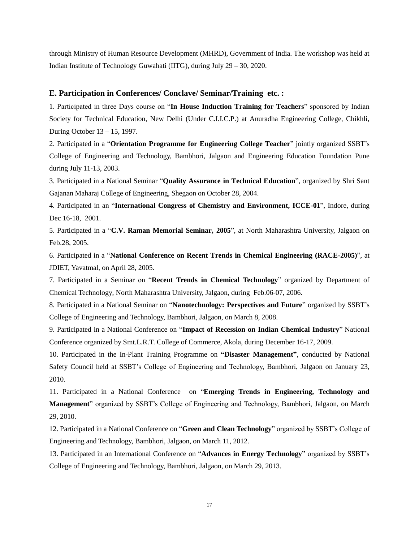through Ministry of Human Resource Development (MHRD), Government of India. The workshop was held at Indian Institute of Technology Guwahati (IITG), during July 29 – 30, 2020.

#### **E. Participation in Conferences/ Conclave/ Seminar/Training etc. :**

1. Participated in three Days course on "**In House Induction Training for Teachers**" sponsored by Indian Society for Technical Education, New Delhi (Under C.I.I.C.P.) at Anuradha Engineering College, Chikhli, During October 13 – 15, 1997.

2. Participated in a "**Orientation Programme for Engineering College Teacher**" jointly organized SSBT"s College of Engineering and Technology, Bambhori, Jalgaon and Engineering Education Foundation Pune during July 11-13, 2003.

3. Participated in a National Seminar "**Quality Assurance in Technical Education**", organized by Shri Sant Gajanan Maharaj College of Engineering, Shegaon on October 28, 2004.

4. Participated in an "**International Congress of Chemistry and Environment, ICCE-01**", Indore, during Dec 16-18, 2001.

5. Participated in a "**C.V. Raman Memorial Seminar, 2005**", at North Maharashtra University, Jalgaon on Feb.28, 2005.

6. Participated in a "**National Conference on Recent Trends in Chemical Engineering (RACE-2005)**", at JDIET, Yavatmal, on April 28, 2005.

7. Participated in a Seminar on "**Recent Trends in Chemical Technology**" organized by Department of Chemical Technology, North Maharashtra University, Jalgaon, during Feb.06-07, 2006.

8. Participated in a National Seminar on "**Nanotechnology: Perspectives and Future**" organized by SSBT"s College of Engineering and Technology, Bambhori, Jalgaon, on March 8, 2008.

9. Participated in a National Conference on "**Impact of Recession on Indian Chemical Industry**" National Conference organized by Smt.L.R.T. College of Commerce, Akola, during December 16-17, 2009.

10. Participated in the In-Plant Training Programme on **"Disaster Management"**, conducted by National Safety Council held at SSBT"s College of Engineering and Technology, Bambhori, Jalgaon on January 23, 2010.

11. Participated in a National Conference on "**Emerging Trends in Engineering, Technology and Management**" organized by SSBT"s College of Engineering and Technology, Bambhori, Jalgaon, on March 29, 2010.

12. Participated in a National Conference on "**Green and Clean Technology**" organized by SSBT"s College of Engineering and Technology, Bambhori, Jalgaon, on March 11, 2012.

13. Participated in an International Conference on "**Advances in Energy Technology**" organized by SSBT"s College of Engineering and Technology, Bambhori, Jalgaon, on March 29, 2013.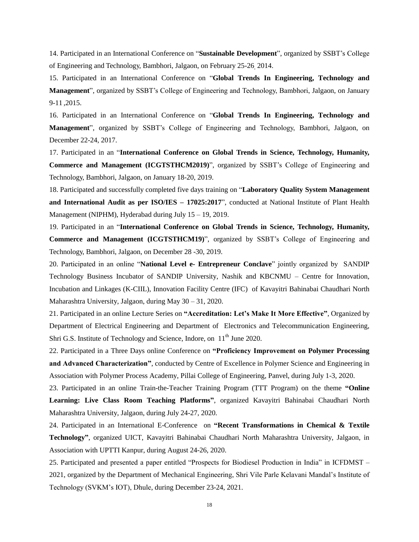14. Participated in an International Conference on "**Sustainable Development**", organized by SSBT"s College of Engineering and Technology, Bambhori, Jalgaon, on February 25-26, 2014.

15. Participated in an International Conference on "**Global Trends In Engineering, Technology and Management**", organized by SSBT"s College of Engineering and Technology, Bambhori, Jalgaon, on January 9-11 ,2015.

16. Participated in an International Conference on "**Global Trends In Engineering, Technology and Management**", organized by SSBT"s College of Engineering and Technology, Bambhori, Jalgaon, on December 22-24, 2017.

17. Participated in an "**International Conference on Global Trends in Science, Technology, Humanity, Commerce and Management (ICGTSTHCM2019)**", organized by SSBT"s College of Engineering and Technology, Bambhori, Jalgaon, on January 18-20, 2019.

18. Participated and successfully completed five days training on "**Laboratory Quality System Management and International Audit as per ISO/IES – 17025:2017**", conducted at National Institute of Plant Health Management (NIPHM), Hyderabad during July 15 – 19, 2019.

19. Participated in an "**International Conference on Global Trends in Science, Technology, Humanity, Commerce and Management (ICGTSTHCM19)**", organized by SSBT"s College of Engineering and Technology, Bambhori, Jalgaon, on December 28 -30, 2019.

20. Participated in an online "**National Level e- Entrepreneur Conclave**" jointly organized by SANDIP Technology Business Incubator of SANDIP University, Nashik and KBCNMU – Centre for Innovation, Incubation and Linkages (K-CIIL), Innovation Facility Centre (IFC) of Kavayitri Bahinabai Chaudhari North Maharashtra University, Jalgaon, during May 30 – 31, 2020.

21. Participated in an online Lecture Series on **"Accreditation: Let's Make It More Effective"**, Organized by Department of Electrical Engineering and Department of Electronics and Telecommunication Engineering, Shri G.S. Institute of Technology and Science, Indore, on 11<sup>th</sup> June 2020.

22. Participated in a Three Days online Conference on **"Proficiency Improvement on Polymer Processing and Advanced Characterization"**, conducted by Centre of Excellence in Polymer Science and Engineering in Association with Polymer Process Academy, Pillai College of Engineering, Panvel, during July 1-3, 2020.

23. Participated in an online Train-the-Teacher Training Program (TTT Program) on the theme **"Online Learning: Live Class Room Teaching Platforms"**, organized Kavayitri Bahinabai Chaudhari North Maharashtra University, Jalgaon, during July 24-27, 2020.

24. Participated in an International E-Conference on **"Recent Transformations in Chemical & Textile Technology"**, organized UICT, Kavayitri Bahinabai Chaudhari North Maharashtra University, Jalgaon, in Association with UPTTI Kanpur, during August 24-26, 2020.

25. Participated and presented a paper entitled "Prospects for Biodiesel Production in India" in ICFDMST – 2021, organized by the Department of Mechanical Engineering, Shri Vile Parle Kelavani Mandal"s Institute of Technology (SVKM"s IOT), Dhule, during December 23-24, 2021.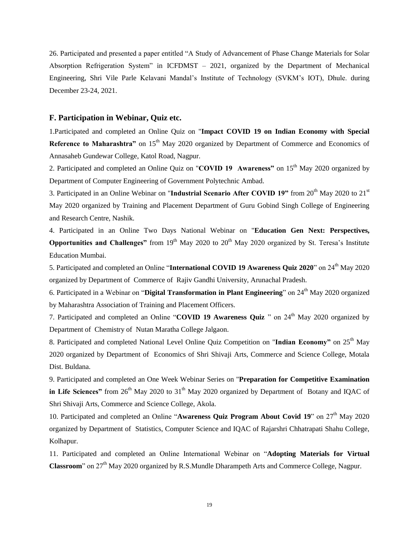26. Participated and presented a paper entitled "A Study of Advancement of Phase Change Materials for Solar Absorption Refrigeration System" in ICFDMST – 2021, organized by the Department of Mechanical Engineering, Shri Vile Parle Kelavani Mandal"s Institute of Technology (SVKM"s IOT), Dhule. during December 23-24, 2021.

## **F. Participation in Webinar, Quiz etc.**

1.Participated and completed an Online Quiz on "**Impact COVID 19 on Indian Economy with Special Reference to Maharashtra"** on 15<sup>th</sup> May 2020 organized by Department of Commerce and Economics of Annasaheb Gundewar College, Katol Road, Nagpur.

2. Participated and completed an Online Quiz on "**COVID 19 Awareness**" on 15<sup>th</sup> May 2020 organized by Department of Computer Engineering of Government Polytechnic Ambad.

3. Participated in an Online Webinar on "Industrial Scenario After COVID 19" from 20<sup>th</sup> May 2020 to 21<sup>st</sup> May 2020 organized by Training and Placement Department of Guru Gobind Singh College of Engineering and Research Centre, Nashik.

4. Participated in an Online Two Days National Webinar on "**Education Gen Next: Perspectives, Opportunities and Challenges"** from 19<sup>th</sup> May 2020 to 20<sup>th</sup> May 2020 organized by St. Teresa's Institute Education Mumbai.

5. Participated and completed an Online "**International COVID 19 Awareness Quiz 2020**" on 24th May 2020 organized by Department of Commerce of Rajiv Gandhi University, Arunachal Pradesh.

6. Participated in a Webinar on "**Digital Transformation in Plant Engineering**" on 24th May 2020 organized by Maharashtra Association of Training and Placement Officers.

7. Participated and completed an Online "**COVID 19 Awareness Quiz** " on 24<sup>th</sup> May 2020 organized by Department of Chemistry of Nutan Maratha College Jalgaon.

8. Participated and completed National Level Online Quiz Competition on "**Indian Economy"** on 25th May 2020 organized by Department of Economics of Shri Shivaji Arts, Commerce and Science College, Motala Dist. Buldana.

9. Participated and completed an One Week Webinar Series on "**Preparation for Competitive Examination**  in Life Sciences" from 26<sup>th</sup> May 2020 to 31<sup>th</sup> May 2020 organized by Department of Botany and IQAC of Shri Shivaji Arts, Commerce and Science College, Akola.

10. Participated and completed an Online "Awareness Quiz Program About Covid 19" on 27<sup>th</sup> May 2020 organized by Department of Statistics, Computer Science and IQAC of Rajarshri Chhatrapati Shahu College, Kolhapur.

11. Participated and completed an Online International Webinar on "**Adopting Materials for Virtual**  Classroom" on 27<sup>th</sup> May 2020 organized by R.S.Mundle Dharampeth Arts and Commerce College, Nagpur.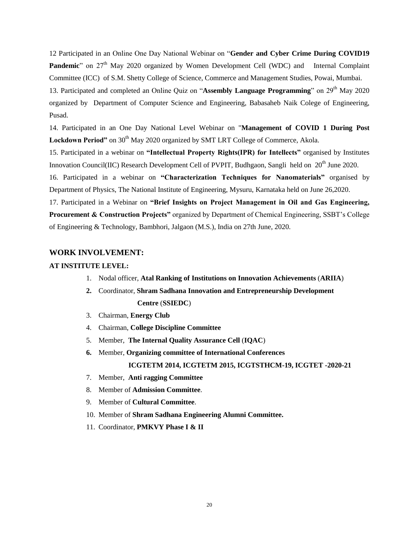12 Participated in an Online One Day National Webinar on "**Gender and Cyber Crime During COVID19 Pandemic**" on 27<sup>th</sup> May 2020 organized by Women Development Cell (WDC) and Internal Complaint Committee (ICC) of S.M. Shetty College of Science, Commerce and Management Studies, Powai, Mumbai. 13. Participated and completed an Online Quiz on "**Assembly Language Programming**" on 29<sup>th</sup> May 2020 organized by Department of Computer Science and Engineering, Babasaheb Naik Colege of Engineering, Pusad.

14. Participated in an One Day National Level Webinar on "**Management of COVID 1 During Post**  Lockdown Period" on 30<sup>th</sup> May 2020 organized by SMT LRT College of Commerce, Akola.

15. Participated in a webinar on **"Intellectual Property Rights(IPR) for Intellects"** organised by Institutes Innovation Council(IIC) Research Development Cell of PVPIT, Budhgaon, Sangli held on 20<sup>th</sup> June 2020.

16. Participated in a webinar on **"Characterization Techniques for Nanomaterials"** organised by Department of Physics, The National Institute of Engineering, Mysuru, Karnataka held on June 26,2020.

17. Participated in a Webinar on **"Brief Insights on Project Management in Oil and Gas Engineering, Procurement & Construction Projects"** organized by Department of Chemical Engineering, SSBT"s College of Engineering & Technology, Bambhori, Jalgaon (M.S.), India on 27th June, 2020.

### **WORK INVOLVEMENT:**

#### **AT INSTITUTE LEVEL:**

- 1. Nodal officer, **Atal Ranking of Institutions on Innovation Achievements** (**ARIIA**)
- **2.** Coordinator, **Shram Sadhana Innovation and Entrepreneurship Development Centre** (**SSIEDC**)
- 3. Chairman, **Energy Club**
- 4. Chairman, **College Discipline Committee**
- 5. Member, **The Internal Quality Assurance Cell** (**IQAC**)
- **6.** Member, **Organizing committee of International Conferences ICGTETM 2014, ICGTETM 2015, ICGTSTHCM-19, ICGTET -2020-21**
- 7. Member, **Anti ragging Committee**
- 8. Member of **Admission Committee**.
- 9. Member of **Cultural Committee**.
- 10. Member of **Shram Sadhana Engineering Alumni Committee.**
- 11. Coordinator, **PMKVY Phase I & II**